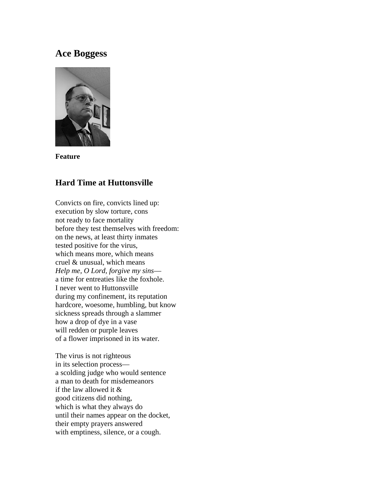## **Ace Boggess**



**Feature**

## **Hard Time at Huttonsville**

Convicts on fire, convicts lined up: execution by slow torture, cons not ready to face mortality before they test themselves with freedom: on the news, at least thirty inmates tested positive for the virus, which means more, which means cruel & unusual, which means *Help me, O Lord, forgive my sins* a time for entreaties like the foxhole. I never went to Huttonsville during my confinement, its reputation hardcore, woesome, humbling, but know sickness spreads through a slammer how a drop of dye in a vase will redden or purple leaves of a flower imprisoned in its water.

The virus is not righteous in its selection process a scolding judge who would sentence a man to death for misdemeanors if the law allowed it & good citizens did nothing, which is what they always do until their names appear on the docket, their empty prayers answered with emptiness, silence, or a cough.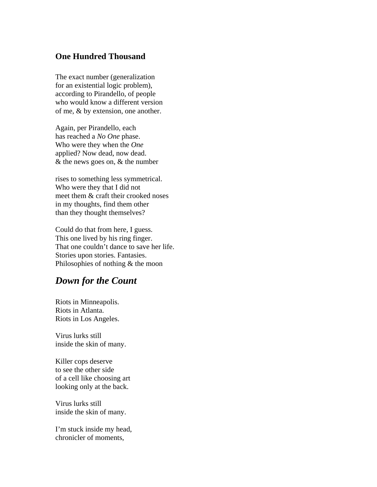## **One Hundred Thousand**

The exact number (generalization for an existential logic problem), according to Pirandello, of people who would know a different version of me, & by extension, one another.

Again, per Pirandello, each has reached a *No One* phase. Who were they when the *One* applied? Now dead, now dead. & the news goes on, & the number

rises to something less symmetrical. Who were they that I did not meet them & craft their crooked noses in my thoughts, find them other than they thought themselves?

Could do that from here, I guess. This one lived by his ring finger. That one couldn't dance to save her life. Stories upon stories. Fantasies. Philosophies of nothing & the moon

# *Down for the Count*

Riots in Minneapolis. Riots in Atlanta. Riots in Los Angeles.

Virus lurks still inside the skin of many.

Killer cops deserve to see the other side of a cell like choosing art looking only at the back.

Virus lurks still inside the skin of many.

I'm stuck inside my head, chronicler of moments,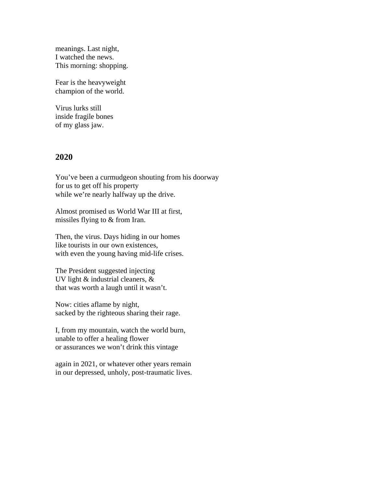meanings. Last night, I watched the news. This morning: shopping.

Fear is the heavyweight champion of the world.

Virus lurks still inside fragile bones of my glass jaw.

#### **2020**

You've been a curmudgeon shouting from his doorway for us to get off his property while we're nearly halfway up the drive.

Almost promised us World War III at first, missiles flying to & from Iran.

Then, the virus. Days hiding in our homes like tourists in our own existences, with even the young having mid-life crises.

The President suggested injecting UV light & industrial cleaners, & that was worth a laugh until it wasn't.

Now: cities aflame by night, sacked by the righteous sharing their rage.

I, from my mountain, watch the world burn, unable to offer a healing flower or assurances we won't drink this vintage

again in 2021, or whatever other years remain in our depressed, unholy, post-traumatic lives.